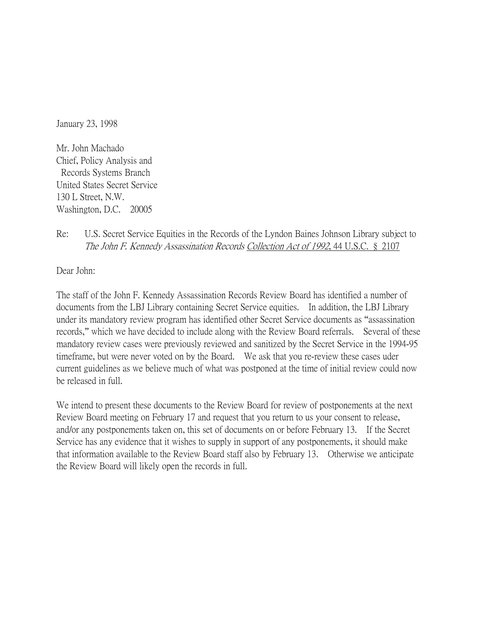January 23, 1998

Mr. John Machado Chief, Policy Analysis and Records Systems Branch United States Secret Service 130 L Street, N.W. Washington, D.C. 20005

## Re: U.S. Secret Service Equities in the Records of the Lyndon Baines Johnson Library subject to The John F. Kennedy Assassination Records Collection Act of 1992, 44 U.S.C. § 2107

Dear John:

The staff of the John F. Kennedy Assassination Records Review Board has identified a number of documents from the LBJ Library containing Secret Service equities. In addition, the LBJ Library under its mandatory review program has identified other Secret Service documents as "assassination records," which we have decided to include along with the Review Board referrals. Several of these mandatory review cases were previously reviewed and sanitized by the Secret Service in the 1994-95 timeframe, but were never voted on by the Board. We ask that you re-review these cases uder current guidelines as we believe much of what was postponed at the time of initial review could now be released in full.

We intend to present these documents to the Review Board for review of postponements at the next Review Board meeting on February 17 and request that you return to us your consent to release, and/or any postponements taken on, this set of documents on or before February 13. If the Secret Service has any evidence that it wishes to supply in support of any postponements, it should make that information available to the Review Board staff also by February 13. Otherwise we anticipate the Review Board will likely open the records in full.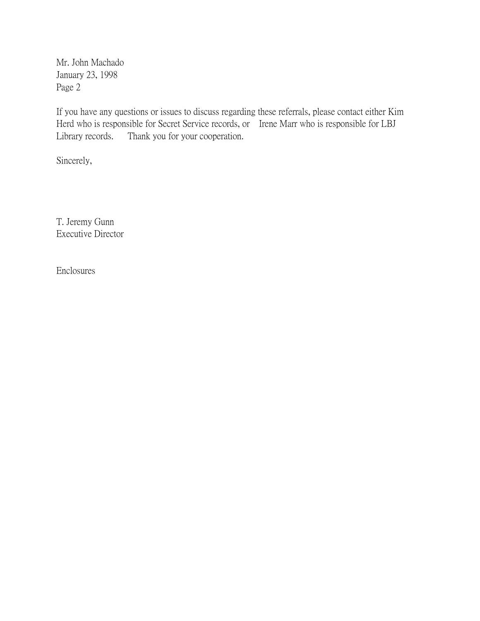Mr. John Machado January 23, 1998 Page 2

If you have any questions or issues to discuss regarding these referrals, please contact either Kim Herd who is responsible for Secret Service records, or Irene Marr who is responsible for LBJ Library records. Thank you for your cooperation.

Sincerely,

T. Jeremy Gunn Executive Director

Enclosures